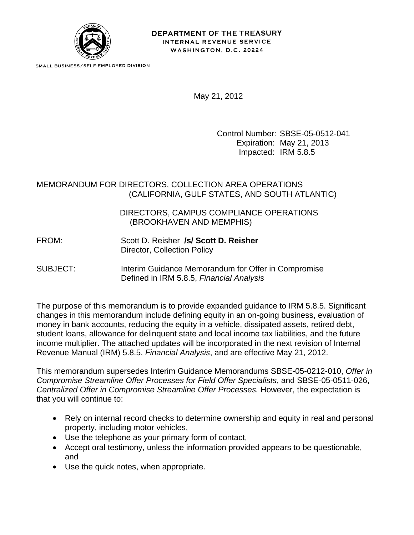

SMALL BUSINESS/SELF-EMPLOYED DIVISION

May 21, 2012

Control Number: SBSE-05-0512-041 Expiration: May 21, 2013 Impacted: IRM 5.8.5

## MEMORANDUM FOR DIRECTORS, COLLECTION AREA OPERATIONS (CALIFORNIA, GULF STATES, AND SOUTH ATLANTIC)

 DIRECTORS, CAMPUS COMPLIANCE OPERATIONS (BROOKHAVEN AND MEMPHIS)

FROM: Scott D. Reisher **/s/ Scott D. Reisher** Director, Collection Policy

SUBJECT: Interim Guidance Memorandum for Offer in Compromise Defined in IRM 5.8.5, *Financial Analysis*

The purpose of this memorandum is to provide expanded guidance to IRM 5.8.5. Significant changes in this memorandum include defining equity in an on-going business, evaluation of money in bank accounts, reducing the equity in a vehicle, dissipated assets, retired debt, student loans, allowance for delinquent state and local income tax liabilities, and the future income multiplier. The attached updates will be incorporated in the next revision of Internal Revenue Manual (IRM) 5.8.5, *Financial Analysis*, and are effective May 21, 2012.

This memorandum supersedes Interim Guidance Memorandums SBSE-05-0212-010, *Offer in Compromise Streamline Offer Processes for Field Offer Specialists*, and SBSE-05-0511-026, *Centralized Offer in Compromise Streamline Offer Processes.* However, the expectation is that you will continue to:

- Rely on internal record checks to determine ownership and equity in real and personal property, including motor vehicles,
- Use the telephone as your primary form of contact,
- Accept oral testimony, unless the information provided appears to be questionable, and
- Use the quick notes, when appropriate.